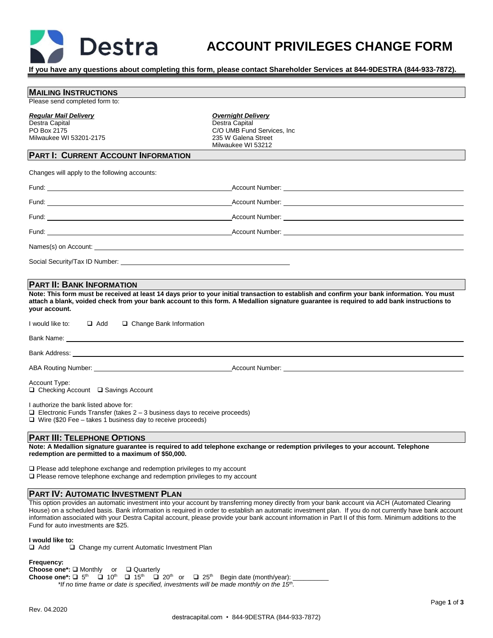

# **ACCOUNT PRIVILEGES CHANGE FORM**

**If you have any questions about completing this form, please contact Shareholder Services at 844-9DESTRA (844-933-7872).**

# **MAILING INSTRUCTIONS**

Please send completed form to:

#### *Regular Mail Delivery*

Destra Capital PO Box 2175 Milwaukee WI 53201-2175 *Overnight Delivery* Destra Capital C/O UMB Fund Services, Inc 235 W Galena Street Milwaukee WI 53212

# **PART I: CURRENT ACCOUNT INFORMATION**

Changes will apply to the following accounts:

| Names(s) on Account: the contract of the contract of the contract of the contract of the contract of the contract of the contract of the contract of the contract of the contract of the contract of the contract of the contr |  |
|--------------------------------------------------------------------------------------------------------------------------------------------------------------------------------------------------------------------------------|--|
| Social Security/Tax ID Number:                                                                                                                                                                                                 |  |

### **PART II: BANK INFORMATION**

**Note: This form must be received at least 14 days prior to your initial transaction to establish and confirm your bank information. You must attach a blank, voided check from your bank account to this form. A Medallion signature guarantee is required to add bank instructions to your account.**

| I would like to: □ Add □ Change Bank Information      |  |  |  |  |
|-------------------------------------------------------|--|--|--|--|
|                                                       |  |  |  |  |
|                                                       |  |  |  |  |
|                                                       |  |  |  |  |
| Account Type:<br>□ Checking Account □ Savings Account |  |  |  |  |
| I authorize the bank listed above for:                |  |  |  |  |

 $\Box$  Electronic Funds Transfer (takes 2 – 3 business days to receive proceeds) ❑ Wire (\$20 Fee – takes 1 business day to receive proceeds)

### **PART III: TELEPHONE OPTIONS**

**Note: A Medallion signature guarantee is required to add telephone exchange or redemption privileges to your account. Telephone redemption are permitted to a maximum of \$50,000.**

❑ Please add telephone exchange and redemption privileges to my account ❑ Please remove telephone exchange and redemption privileges to my account

# **PART IV: AUTOMATIC INVESTMENT PLAN**

This option provides an automatic investment into your account by transferring money directly from your bank account via ACH (Automated Clearing House) on a scheduled basis. Bank information is required in order to establish an automatic investment plan. If you do not currently have bank account information associated with your Destra Capital account, please provide your bank account information in Part II of this form. Minimum additions to the Fund for auto investments are \$25.

#### **I would like to:**

❑ Add ❑ Change my current Automatic Investment Plan

**Frequency:**

**Choose one\*:** ❑ Monthly or ❑ Quarterly Choose one\*: □ 5<sup>th</sup>  $\overline{Q}$  10<sup>th</sup>  $\square$  15<sup>th</sup>  $\square$  20<sup>th</sup> or  $\square$  25<sup>th</sup> Begin date (month/year): \_\_\_\_\_\_\_\_\_\_ *\*If no time frame or date is specified, investments will be made monthly on the 15th .*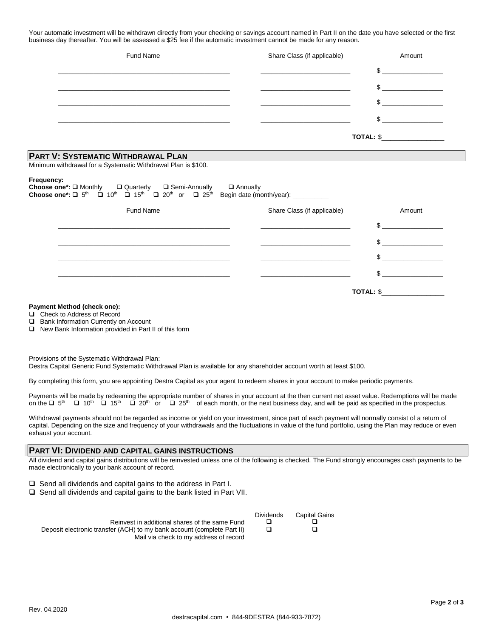Your automatic investment will be withdrawn directly from your checking or savings account named in Part II on the date you have selected or the first business day thereafter. You will be assessed a \$25 fee if the automatic investment cannot be made for any reason.

| Fund Name                                                                                                                                                                                                                                                                                                          | Share Class (if applicable) | Amount       |
|--------------------------------------------------------------------------------------------------------------------------------------------------------------------------------------------------------------------------------------------------------------------------------------------------------------------|-----------------------------|--------------|
|                                                                                                                                                                                                                                                                                                                    |                             | $\mathbb{S}$ |
|                                                                                                                                                                                                                                                                                                                    |                             | \$           |
|                                                                                                                                                                                                                                                                                                                    |                             | $\mathbb{S}$ |
|                                                                                                                                                                                                                                                                                                                    |                             | \$.          |
|                                                                                                                                                                                                                                                                                                                    |                             | TOTAL: \$    |
| <b>PART V: SYSTEMATIC WITHDRAWAL PLAN</b>                                                                                                                                                                                                                                                                          |                             |              |
| Minimum withdrawal for a Systematic Withdrawal Plan is \$100.                                                                                                                                                                                                                                                      |                             |              |
| Frequency:<br><b>Choose one*:</b> $\square$ Monthly $\square$ Quarterly $\square$ Semi-Annually $\square$ Annually <b>Choose one*:</b> $\square$ 5 <sup>th</sup> $\square$ 10 <sup>th</sup> $\square$ 15 <sup>th</sup> $\square$ 20 <sup>th</sup> or $\square$ 25 <sup>th</sup> Begin date (month/year): _________ |                             |              |

| <b>Fund Name</b> | Share Class (if applicable) | Amount |
|------------------|-----------------------------|--------|
|                  |                             |        |
|                  |                             |        |
|                  |                             |        |
|                  |                             |        |
|                  | TOTAL: \$                   |        |

#### **Payment Method (check one):**

❑ Check to Address of Record

❑ Bank Information Currently on Account

❑ New Bank Information provided in Part II of this form

Provisions of the Systematic Withdrawal Plan: Destra Capital Generic Fund Systematic Withdrawal Plan is available for any shareholder account worth at least \$100.

By completing this form, you are appointing Destra Capital as your agent to redeem shares in your account to make periodic payments.

Payments will be made by redeeming the appropriate number of shares in your account at the then current net asset value. Redemptions will be made on the  $\square$  5<sup>th</sup>  $\square$  10<sup>th</sup>  $\square$  15<sup>th</sup>  $\square$  20<sup>th</sup> or  $\square$  25<sup>th</sup> of each month, or the next business day, and will be paid as specified in the prospectus.

Withdrawal payments should not be regarded as income or yield on your investment, since part of each payment will normally consist of a return of capital. Depending on the size and frequency of your withdrawals and the fluctuations in value of the fund portfolio, using the Plan may reduce or even exhaust your account.

## **PART VI: DIVIDEND AND CAPITAL GAINS INSTRUCTIONS**

All dividend and capital gains distributions will be reinvested unless one of the following is checked. The Fund strongly encourages cash payments to be made electronically to your bank account of record.

❑ Send all dividends and capital gains to the address in Part I.

❑ Send all dividends and capital gains to the bank listed in Part VII.

|                                                                         | Dividends | <b>Capital Gains</b> |
|-------------------------------------------------------------------------|-----------|----------------------|
| Reinvest in additional shares of the same Fund                          |           |                      |
| Deposit electronic transfer (ACH) to my bank account (complete Part II) |           |                      |
| Mail via check to my address of record                                  |           |                      |